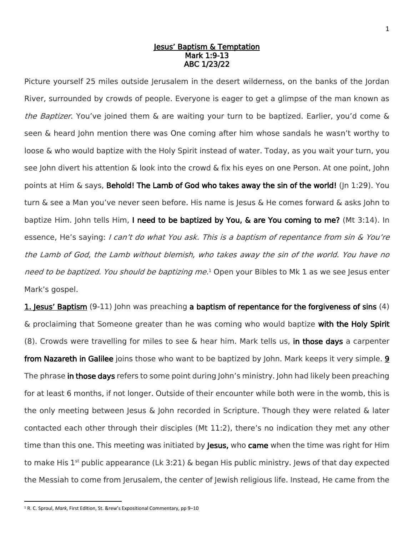## Jesus' Baptism & Temptation Mark 1:9-13 ABC 1/23/22

Picture yourself 25 miles outside Jerusalem in the desert wilderness, on the banks of the Jordan River, surrounded by crowds of people. Everyone is eager to get a glimpse of the man known as the Baptizer. You've joined them & are waiting your turn to be baptized. Earlier, you'd come & seen & heard John mention there was One coming after him whose sandals he wasn't worthy to loose & who would baptize with the Holy Spirit instead of water. Today, as you wait your turn, you see John divert his attention & look into the crowd & fix his eyes on one Person. At one point, John points at Him  $\&$  says, Behold! The Lamb of God who takes away the sin of the world! (Jn 1:29). You turn & see a Man you've never seen before. His name is Jesus & He comes forward & asks John to baptize Him. John tells Him, I need to be baptized by You, & are You coming to me? (Mt 3:14). In essence, He's saying: I can't do what You ask. This is a baptism of repentance from sin & You're the Lamb of God, the Lamb without blemish, who takes away the sin of the world. You have no need to be baptized. You should be baptizing me.<sup>1</sup> Open your Bibles to Mk 1 as we see Jesus enter Mark's gospel.

1. Jesus' Baptism (9-11) John was preaching a baptism of repentance for the forgiveness of sins (4) & proclaiming that Someone greater than he was coming who would baptize with the Holy Spirit (8). Crowds were travelling for miles to see & hear him. Mark tells us, in those days a carpenter from Nazareth in Galilee joins those who want to be baptized by John. Mark keeps it very simple. 9 The phrase in those days refers to some point during John's ministry. John had likely been preaching for at least 6 months, if not longer. Outside of their encounter while both were in the womb, this is the only meeting between Jesus  $\&$  John recorded in Scripture. Though they were related  $\&$  later contacted each other through their disciples (Mt 11:2), there's no indication they met any other time than this one. This meeting was initiated by **Jesus,** who **came** when the time was right for Him to make His  $1<sup>st</sup>$  public appearance (Lk 3:21) & began His public ministry. Jews of that day expected the Messiah to come from Jerusalem, the center of Jewish religious life. Instead, He came from the

l

<sup>1</sup> R. C. Sproul, *Mark*, First Edition, St. &rew's Expositional Commentary, pp 9–10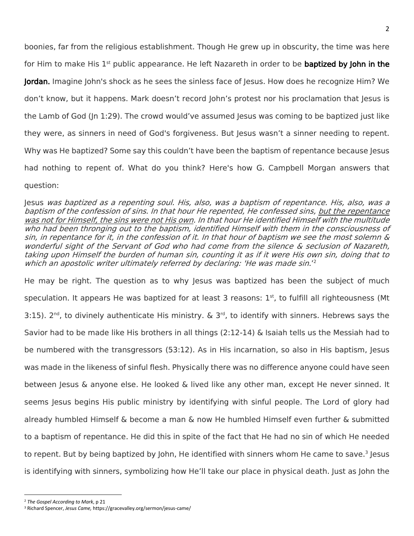boonies, far from the religious establishment. Though He grew up in obscurity, the time was here for Him to make His  $1^{st}$  public appearance. He left Nazareth in order to be **baptized by John in the** Jordan. Imagine John's shock as he sees the sinless face of Jesus. How does he recognize Him? We don't know, but it happens. Mark doesn't record John's protest nor his proclamation that Jesus is the Lamb of God (Jn 1:29). The crowd would've assumed Jesus was coming to be baptized just like they were, as sinners in need of God's forgiveness. But Jesus wasn't a sinner needing to repent. Why was He baptized? Some say this couldn't have been the baptism of repentance because Jesus had nothing to repent of. What do you think? Here's how G. Campbell Morgan answers that question:

Jesus was baptized as a repenting soul. His, also, was a baptism of repentance. His, also, was a baptism of the confession of sins. In that hour He repented, He confessed sins, but the repentance was not for Himself, the sins were not His own. In that hour He identified Himself with the multitude who had been thronging out to the baptism, identified Himself with them in the consciousness of sin, in repentance for it, in the confession of it. In that hour of baptism we see the most solemn & wonderful sight of the Servant of God who had come from the silence & seclusion of Nazareth, taking upon Himself the burden of human sin, counting it as if it were His own sin, doing that to which an apostolic writer ultimately referred by declaring: 'He was made sin.'<sup>2</sup>

He may be right. The question as to why Jesus was baptized has been the subject of much speculation. It appears He was baptized for at least 3 reasons:  $1<sup>st</sup>$ , to fulfill all righteousness (Mt 3:15). 2<sup>nd</sup>, to divinely authenticate His ministry. & 3<sup>rd</sup>, to identify with sinners. Hebrews says the Savior had to be made like His brothers in all things (2:12-14) & Isaiah tells us the Messiah had to be numbered with the transgressors (53:12). As in His incarnation, so also in His baptism, Jesus was made in the likeness of sinful flesh. Physically there was no difference anyone could have seen between Jesus & anyone else. He looked & lived like any other man, except He never sinned. It seems Jesus begins His public ministry by identifying with sinful people. The Lord of glory had already humbled Himself & become a man & now He humbled Himself even further & submitted to a baptism of repentance. He did this in spite of the fact that He had no sin of which He needed to repent. But by being baptized by John, He identified with sinners whom He came to save.<sup>3</sup> Jesus is identifying with sinners, symbolizing how He'll take our place in physical death. Just as John the

 $\overline{a}$ 

<sup>2</sup> *The Gospel According to Mark*, p 21

<sup>3</sup> Richard Spencer, *Jesus Came,* https://gracevalley.org/sermon/jesus-came/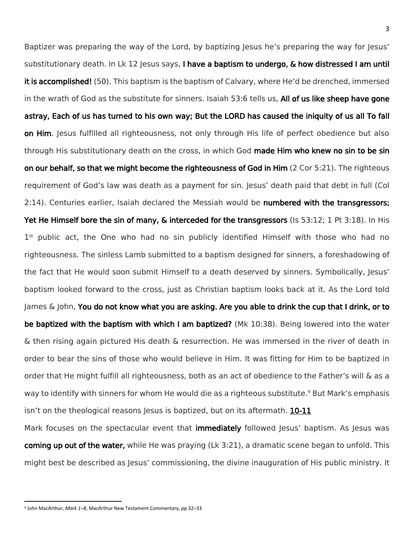Baptizer was preparing the way of the Lord, by baptizing Jesus he's preparing the way for Jesus' substitutionary death. In Lk 12 Jesus says, I have a baptism to undergo, & how distressed I am until it is accomplished! (50). This baptism is the baptism of Calvary, where He'd be drenched, immersed in the wrath of God as the substitute for sinners. Isaiah 53:6 tells us, All of us like sheep have gone astray, Each of us has turned to his own way; But the LORD has caused the iniquity of us all To fall on Him. Jesus fulfilled all righteousness, not only through His life of perfect obedience but also through His substitutionary death on the cross, in which God made Him who knew no sin to be sin on our behalf, so that we might become the righteousness of God in Him (2 Cor 5:21). The righteous requirement of God's law was death as a payment for sin. Jesus' death paid that debt in full (Col 2:14). Centuries earlier, Isaiah declared the Messiah would be numbered with the transgressors; Yet He Himself bore the sin of many, & interceded for the transgressors (Is 53:12; 1 Pt 3:18). In His 1<sup>st</sup> public act, the One who had no sin publicly identified Himself with those who had no righteousness. The sinless Lamb submitted to a baptism designed for sinners, a foreshadowing of the fact that He would soon submit Himself to a death deserved by sinners. Symbolically, Jesus' baptism looked forward to the cross, just as Christian baptism looks back at it. As the Lord told James & John, You do not know what you are asking. Are you able to drink the cup that I drink, or to be baptized with the baptism with which I am baptized? (Mk 10:38). Being lowered into the water & then rising again pictured His death & resurrection. He was immersed in the river of death in order to bear the sins of those who would believe in Him. It was fitting for Him to be baptized in order that He might fulfill all righteousness, both as an act of obedience to the Father's will & as a way to identify with sinners for whom He would die as a righteous substitute.<sup>4</sup> But Mark's emphasis isn't on the theological reasons lesus is baptized, but on its aftermath.  $10-11$ 

Mark focuses on the spectacular event that *immediately* followed Jesus' baptism. As Jesus was coming up out of the water, while He was praying (Lk 3:21), a dramatic scene began to unfold. This might best be described as Jesus' commissioning, the divine inauguration of His public ministry. It

l

<sup>4</sup> John MacArthur, *Mark 1–8*, MacArthur New Testament Commentary, pp 32–33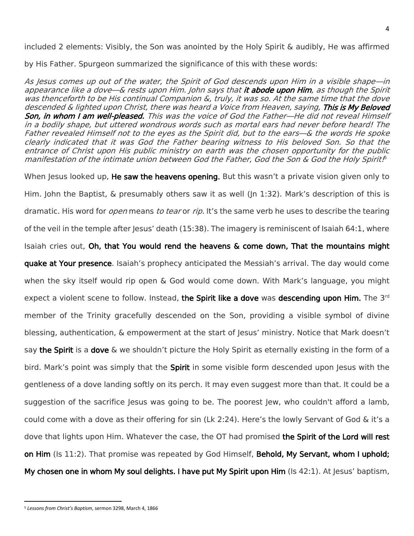included 2 elements: Visibly, the Son was anointed by the Holy Spirit & audibly, He was affirmed

by His Father. Spurgeon summarized the significance of this with these words:

As Jesus comes up out of the water, the Spirit of God descends upon Him in a visible shape—in appearance like a dove—& rests upon Him. John says that it abode upon Him, as though the Spirit was thenceforth to be His continual Companion &, truly, it was so. At the same time that the dove descended & lighted upon Christ, there was heard a Voice from Heaven, saying, This is My Beloved Son, in whom I am well-pleased. This was the voice of God the Father—He did not reveal Himself in a bodily shape, but uttered wondrous words such as mortal ears had never before heard! The Father revealed Himself not to the eyes as the Spirit did, but to the ears—& the words He spoke clearly indicated that it was God the Father bearing witness to His beloved Son. So that the entrance of Christ upon His public ministry on earth was the chosen opportunity for the public manifestation of the intimate union between God the Father, God the Son & God the Holy Spirit.<sup>6</sup>

When Jesus looked up, **He saw the heavens opening.** But this wasn't a private vision given only to Him. John the Baptist, & presumably others saw it as well (Jn 1:32). Mark's description of this is dramatic. His word for *open* means to tear or rip. It's the same verb he uses to describe the tearing of the veil in the temple after Jesus' death (15:38). The imagery is reminiscent of Isaiah 64:1, where Isaiah cries out, Oh, that You would rend the heavens & come down, That the mountains might quake at Your presence. Isaiah's prophecy anticipated the Messiah's arrival. The day would come when the sky itself would rip open & God would come down. With Mark's language, you might expect a violent scene to follow. Instead, the Spirit like a dove was descending upon Him. The 3<sup>rd</sup> member of the Trinity gracefully descended on the Son, providing a visible symbol of divine blessing, authentication, & empowerment at the start of Jesus' ministry. Notice that Mark doesn't say the Spirit is a dove & we shouldn't picture the Holy Spirit as eternally existing in the form of a bird. Mark's point was simply that the Spirit in some visible form descended upon Jesus with the gentleness of a dove landing softly on its perch. It may even suggest more than that. It could be a suggestion of the sacrifice Jesus was going to be. The poorest Jew, who couldn't afford a lamb, could come with a dove as their offering for sin (Lk 2:24). Here's the lowly Servant of God & it's a dove that lights upon Him. Whatever the case, the OT had promised the Spirit of the Lord will rest on Him (Is 11:2). That promise was repeated by God Himself, Behold, My Servant, whom I uphold; My chosen one in whom My soul delights. I have put My Spirit upon Him (Is 42:1). At Jesus' baptism,

l <sup>5</sup> *Lessons from Christ's Baptism*, sermon 3298, March 4, 1866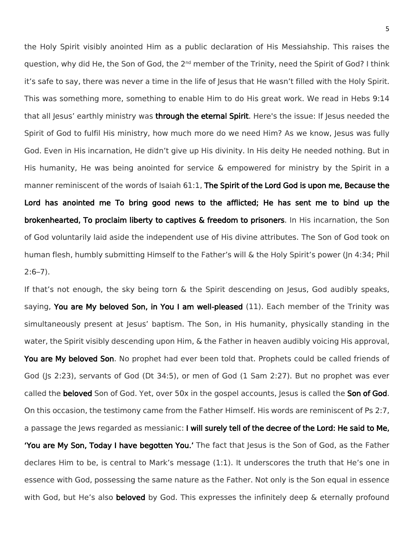the Holy Spirit visibly anointed Him as a public declaration of His Messiahship. This raises the question, why did He, the Son of God, the 2<sup>nd</sup> member of the Trinity, need the Spirit of God? I think it's safe to say, there was never a time in the life of Jesus that He wasn't filled with the Holy Spirit. This was something more, something to enable Him to do His great work. We read in Hebs 9:14 that all Jesus' earthly ministry was through the eternal Spirit. Here's the issue: If Jesus needed the Spirit of God to fulfil His ministry, how much more do we need Him? As we know, Jesus was fully God. Even in His incarnation, He didn't give up His divinity. In His deity He needed nothing. But in His humanity, He was being anointed for service & empowered for ministry by the Spirit in a manner reminiscent of the words of Isaiah 61:1, The Spirit of the Lord God is upon me, Because the Lord has anointed me To bring good news to the afflicted; He has sent me to bind up the brokenhearted, To proclaim liberty to captives & freedom to prisoners. In His incarnation, the Son of God voluntarily laid aside the independent use of His divine attributes. The Son of God took on human flesh, humbly submitting Himself to the Father's will & the Holy Spirit's power (Jn 4:34; Phil  $2:6 - 7$ ).

If that's not enough, the sky being torn & the Spirit descending on Jesus, God audibly speaks, saying, You are My beloved Son, in You I am well-pleased (11). Each member of the Trinity was simultaneously present at Jesus' baptism. The Son, in His humanity, physically standing in the water, the Spirit visibly descending upon Him, & the Father in heaven audibly voicing His approval, You are My beloved Son. No prophet had ever been told that. Prophets could be called friends of God (Js 2:23), servants of God (Dt 34:5), or men of God (1 Sam 2:27). But no prophet was ever called the beloved Son of God. Yet, over 50x in the gospel accounts, Jesus is called the Son of God. On this occasion, the testimony came from the Father Himself. His words are reminiscent of Ps 2:7, a passage the Jews regarded as messianic: I will surely tell of the decree of the Lord: He said to Me, **'You are My Son, Today I have begotten You.'** The fact that Jesus is the Son of God, as the Father declares Him to be, is central to Mark's message (1:1). It underscores the truth that He's one in essence with God, possessing the same nature as the Father. Not only is the Son equal in essence with God, but He's also **beloved** by God. This expresses the infinitely deep & eternally profound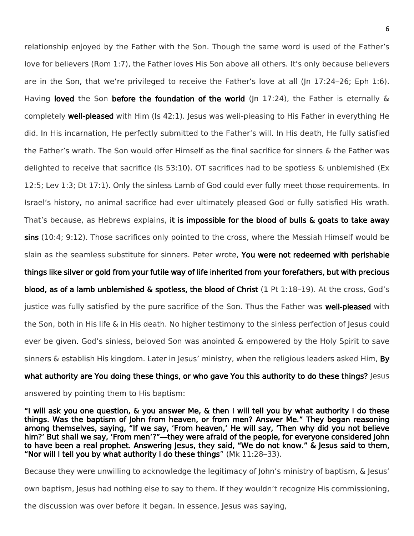relationship enjoyed by the Father with the Son. Though the same word is used of the Father's love for believers (Rom 1:7), the Father loves His Son above all others. It's only because believers are in the Son, that we're privileged to receive the Father's love at all (Jn 17:24–26; Eph 1:6). Having loved the Son before the foundation of the world ( $|n \t17:24$ ), the Father is eternally & completely **well-pleased** with Him (Is 42:1). Jesus was well-pleasing to His Father in everything He did. In His incarnation, He perfectly submitted to the Father's will. In His death, He fully satisfied the Father's wrath. The Son would offer Himself as the final sacrifice for sinners & the Father was delighted to receive that sacrifice (Is 53:10). OT sacrifices had to be spotless & unblemished (Ex 12:5; Lev 1:3; Dt 17:1). Only the sinless Lamb of God could ever fully meet those requirements. In Israel's history, no animal sacrifice had ever ultimately pleased God or fully satisfied His wrath. That's because, as Hebrews explains, it is impossible for the blood of bulls & goats to take away sins (10:4; 9:12). Those sacrifices only pointed to the cross, where the Messiah Himself would be slain as the seamless substitute for sinners. Peter wrote, You were not redeemed with perishable things like silver or gold from your futile way of life inherited from your forefathers, but with precious blood, as of a lamb unblemished  $\&$  spotless, the blood of Christ  $(1 \text{ Pt} 1:18-19)$ . At the cross, God's justice was fully satisfied by the pure sacrifice of the Son. Thus the Father was well-pleased with the Son, both in His life & in His death. No higher testimony to the sinless perfection of Jesus could ever be given. God's sinless, beloved Son was anointed & empowered by the Holy Spirit to save sinners & establish His kingdom. Later in Jesus' ministry, when the religious leaders asked Him, By what authority are You doing these things, or who gave You this authority to do these things? Jesus

answered by pointing them to His baptism:

"I will ask you one question, & you answer Me, & then I will tell you by what authority I do these things. Was the baptism of John from heaven, or from men? Answer Me." They began reasoning among themselves, saying, "If we say, 'From heaven,' He will say, 'Then why did you not believe him?' But shall we say, 'From men'?"—they were afraid of the people, for everyone considered John to have been a real prophet. Answering Jesus, they said, "We do not know." & Jesus said to them, "Nor will I tell you by what authority I do these things" (Mk 11:28–33).

Because they were unwilling to acknowledge the legitimacy of John's ministry of baptism, & Jesus'

own baptism, Jesus had nothing else to say to them. If they wouldn't recognize His commissioning,

the discussion was over before it began. In essence, Jesus was saying,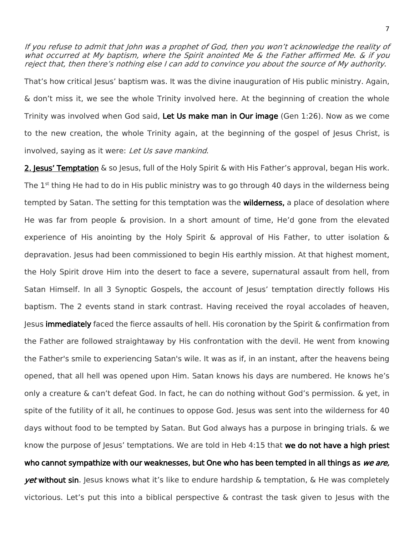If you refuse to admit that John was a prophet of God, then you won't acknowledge the reality of what occurred at My baptism, where the Spirit anointed Me & the Father affirmed Me. & if you reject that, then there's nothing else I can add to convince you about the source of My authority.

That's how critical Jesus' baptism was. It was the divine inauguration of His public ministry. Again, & don't miss it, we see the whole Trinity involved here. At the beginning of creation the whole Trinity was involved when God said. Let Us make man in Our image (Gen 1:26). Now as we come to the new creation, the whole Trinity again, at the beginning of the gospel of Jesus Christ, is involved, saying as it were: Let Us save mankind.

2. Jesus' Temptation & so Jesus, full of the Holy Spirit & with His Father's approval, began His work. The  $1<sup>st</sup>$  thing He had to do in His public ministry was to go through 40 days in the wilderness being tempted by Satan. The setting for this temptation was the **wilderness**, a place of desolation where He was far from people & provision. In a short amount of time, He'd gone from the elevated experience of His anointing by the Holy Spirit & approval of His Father, to utter isolation & depravation. Jesus had been commissioned to begin His earthly mission. At that highest moment, the Holy Spirit drove Him into the desert to face a severe, supernatural assault from hell, from Satan Himself. In all 3 Synoptic Gospels, the account of Jesus' temptation directly follows His baptism. The 2 events stand in stark contrast. Having received the royal accolades of heaven, Jesus immediately faced the fierce assaults of hell. His coronation by the Spirit & confirmation from the Father are followed straightaway by His confrontation with the devil. He went from knowing the Father's smile to experiencing Satan's wile. It was as if, in an instant, after the heavens being opened, that all hell was opened upon Him. Satan knows his days are numbered. He knows he's only a creature & can't defeat God. In fact, he can do nothing without God's permission. & yet, in spite of the futility of it all, he continues to oppose God. Jesus was sent into the wilderness for 40 days without food to be tempted by Satan. But God always has a purpose in bringing trials. & we know the purpose of Jesus' temptations. We are told in Heb 4:15 that we do not have a high priest who cannot sympathize with our weaknesses, but One who has been tempted in all things as we are, *yet* without sin. Jesus knows what it's like to endure hardship & temptation, & He was completely victorious. Let's put this into a biblical perspective & contrast the task given to Jesus with the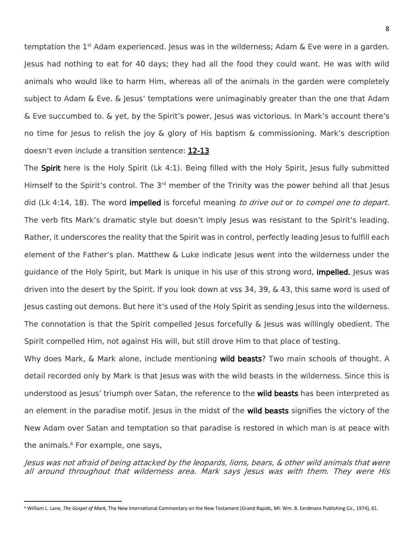temptation the  $1<sup>st</sup>$  Adam experienced. Jesus was in the wilderness; Adam & Eve were in a garden. Jesus had nothing to eat for 40 days; they had all the food they could want. He was with wild animals who would like to harm Him, whereas all of the animals in the garden were completely subject to Adam & Eve. & Jesus' temptations were unimaginably greater than the one that Adam & Eve succumbed to. & yet, by the Spirit's power, Jesus was victorious. In Mark's account there's no time for Jesus to relish the joy & glory of His baptism & commissioning. Mark's description doesn't even include a transition sentence: 12-13

The Spirit here is the Holy Spirit (Lk 4:1). Being filled with the Holy Spirit, Jesus fully submitted Himself to the Spirit's control. The  $3<sup>rd</sup>$  member of the Trinity was the power behind all that Jesus did (Lk 4:14, 18). The word **impelled** is forceful meaning to drive out or to compel one to depart. The verb fits Mark's dramatic style but doesn't imply Jesus was resistant to the Spirit's leading. Rather, it underscores the reality that the Spirit was in control, perfectly leading Jesus to fulfill each element of the Father's plan. Matthew & Luke indicate Jesus went into the wilderness under the guidance of the Holy Spirit, but Mark is unique in his use of this strong word, **impelled.** Jesus was driven into the desert by the Spirit. If you look down at vss 34, 39, & 43, this same word is used of Jesus casting out demons. But here it's used of the Holy Spirit as sending Jesus into the wilderness. The connotation is that the Spirit compelled Jesus forcefully & Jesus was willingly obedient. The Spirit compelled Him, not against His will, but still drove Him to that place of testing.

Why does Mark, & Mark alone, include mentioning wild beasts? Two main schools of thought. A detail recorded only by Mark is that Jesus was with the wild beasts in the wilderness. Since this is understood as Jesus' triumph over Satan, the reference to the wild beasts has been interpreted as an element in the paradise motif. Jesus in the midst of the **wild beasts** signifies the victory of the New Adam over Satan and temptation so that paradise is restored in which man is at peace with the animals. <sup>6</sup> For example, one says,

Jesus was not afraid of being attacked by the leopards, lions, bears, & other wild animals that were all around throughout that wilderness area. Mark says Jesus was with them. They were His

l

<sup>6</sup> William L. Lane, *The Gospel of Mark*, The New International Commentary on the New Testament (Grand Rapids, MI: Wm. B. Eerdmans Publishing Co., 1974), 61.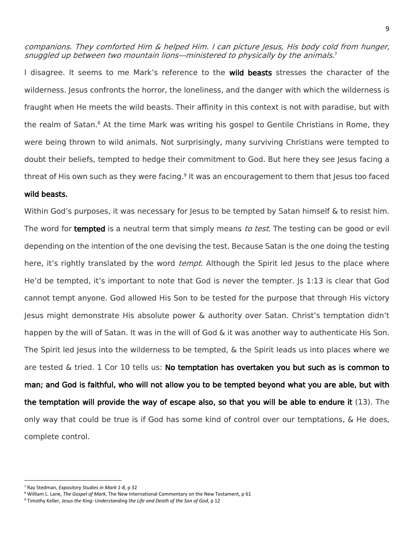companions. They comforted Him & helped Him. I can picture Jesus, His body cold from hunger, snuggled up between two mountain lions—ministered to physically by the animals. 7

I disagree. It seems to me Mark's reference to the wild beasts stresses the character of the wilderness. Jesus confronts the horror, the loneliness, and the danger with which the wilderness is fraught when He meets the wild beasts. Their affinity in this context is not with paradise, but with the realm of Satan.<sup>8</sup> At the time Mark was writing his gospel to Gentile Christians in Rome, they were being thrown to wild animals. Not surprisingly, many surviving Christians were tempted to doubt their beliefs, tempted to hedge their commitment to God. But here they see Jesus facing a threat of His own such as they were facing.<sup>9</sup> It was an encouragement to them that Jesus too faced

## wild beasts.

Within God's purposes, it was necessary for Jesus to be tempted by Satan himself & to resist him. The word for tempted is a neutral term that simply means to test. The testing can be good or evil depending on the intention of the one devising the test. Because Satan is the one doing the testing here, it's rightly translated by the word *tempt*. Although the Spirit led Jesus to the place where He'd be tempted, it's important to note that God is never the tempter. Js 1:13 is clear that God cannot tempt anyone. God allowed His Son to be tested for the purpose that through His victory Jesus might demonstrate His absolute power & authority over Satan. Christ's temptation didn't happen by the will of Satan. It was in the will of God & it was another way to authenticate His Son. The Spirit led Jesus into the wilderness to be tempted, & the Spirit leads us into places where we are tested  $\&$  tried. 1 Cor 10 tells us: No temptation has overtaken you but such as is common to man; and God is faithful, who will not allow you to be tempted beyond what you are able, but with the temptation will provide the way of escape also, so that you will be able to endure it (13). The only way that could be true is if God has some kind of control over our temptations, & He does, complete control.

 $\overline{\phantom{a}}$ 

<sup>7</sup> Ray Stedman, *Expository Studies in Mark 1-8,* p 32

<sup>8</sup> William L. Lane, *The Gospel of Mark*, The New International Commentary on the New Testament, p 61

<sup>9</sup> Timothy Keller, *Jesus the King: Understanding the Life and Death of the Son of God*, p 12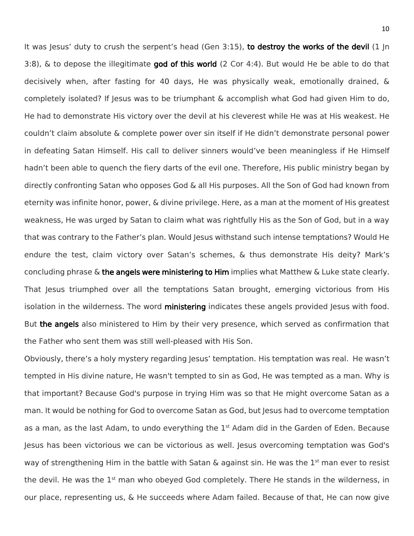It was Jesus' duty to crush the serpent's head (Gen 3:15), to destroy the works of the devil (1 Jn 3:8),  $\&$  to depose the illegitimate god of this world (2 Cor 4:4). But would He be able to do that decisively when, after fasting for 40 days, He was physically weak, emotionally drained, & completely isolated? If Jesus was to be triumphant & accomplish what God had given Him to do, He had to demonstrate His victory over the devil at his cleverest while He was at His weakest. He couldn't claim absolute & complete power over sin itself if He didn't demonstrate personal power in defeating Satan Himself. His call to deliver sinners would've been meaningless if He Himself hadn't been able to quench the fiery darts of the evil one. Therefore, His public ministry began by directly confronting Satan who opposes God & all His purposes. All the Son of God had known from eternity was infinite honor, power, & divine privilege. Here, as a man at the moment of His greatest weakness, He was urged by Satan to claim what was rightfully His as the Son of God, but in a way that was contrary to the Father's plan. Would Jesus withstand such intense temptations? Would He endure the test, claim victory over Satan's schemes, & thus demonstrate His deity? Mark's concluding phrase  $\&$  the angels were ministering to Him implies what Matthew  $\&$  Luke state clearly. That Jesus triumphed over all the temptations Satan brought, emerging victorious from His isolation in the wilderness. The word ministering indicates these angels provided Jesus with food. But the angels also ministered to Him by their very presence, which served as confirmation that the Father who sent them was still well-pleased with His Son.

Obviously, there's a holy mystery regarding Jesus' temptation. His temptation was real. He wasn't tempted in His divine nature, He wasn't tempted to sin as God, He was tempted as a man. Why is that important? Because God's purpose in trying Him was so that He might overcome Satan as a man. It would be nothing for God to overcome Satan as God, but Jesus had to overcome temptation as a man, as the last Adam, to undo everything the 1<sup>st</sup> Adam did in the Garden of Eden. Because Jesus has been victorious we can be victorious as well. Jesus overcoming temptation was God's way of strengthening Him in the battle with Satan & against sin. He was the 1<sup>st</sup> man ever to resist the devil. He was the 1<sup>st</sup> man who obeyed God completely. There He stands in the wilderness, in our place, representing us, & He succeeds where Adam failed. Because of that, He can now give